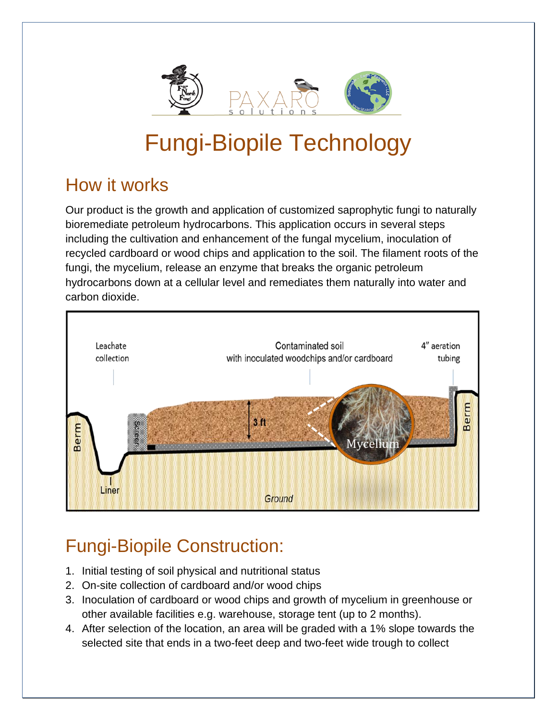

## Fungi-Biopile Technology

## How it works

Our product is the growth and application of customized saprophytic fungi to naturally bioremediate petroleum hydrocarbons. This application occurs in several steps including the cultivation and enhancement of the fungal mycelium, inoculation of recycled cardboard or wood chips and application to the soil. The filament roots of the fungi, the mycelium, release an enzyme that breaks the organic petroleum hydrocarbons down at a cellular level and remediates them naturally into water and carbon dioxide.



## Fungi-Biopile Construction:

- 1. Initial testing of soil physical and nutritional status
- 2. On-site collection of cardboard and/or wood chips
- 3. Inoculation of cardboard or wood chips and growth of mycelium in greenhouse or other available facilities e.g. warehouse, storage tent (up to 2 months).
- 4. After selection of the location, an area will be graded with a 1% slope towards the selected site that ends in a two-feet deep and two-feet wide trough to collect